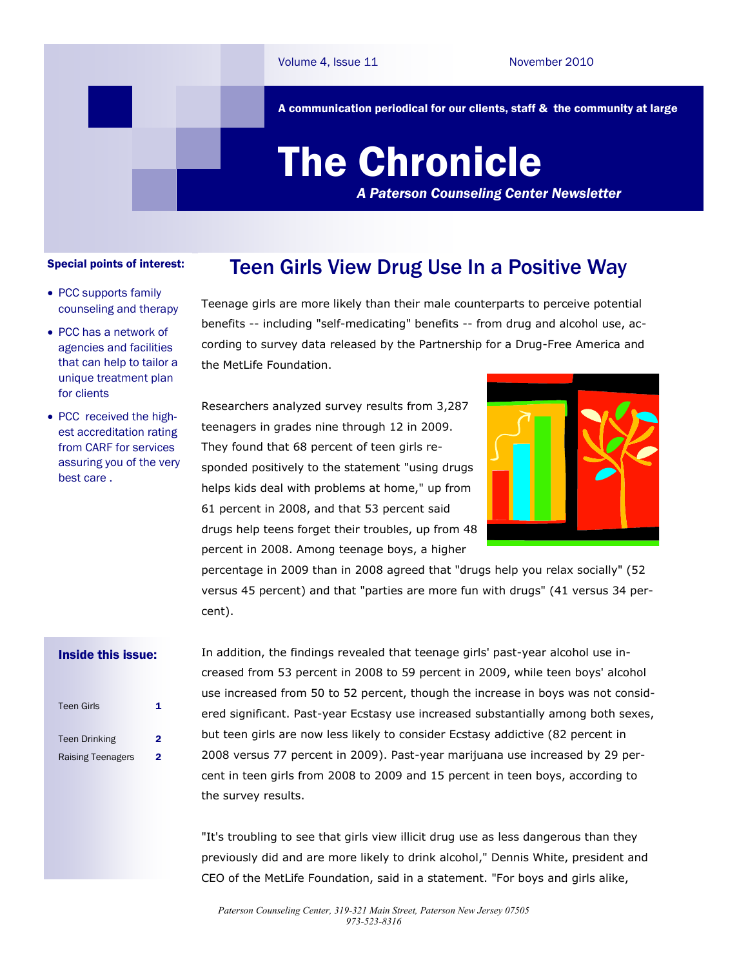A communication periodical for our clients, staff & the community at large

## The Chronicle

*A Paterson Counseling Center Newsletter*

## Special points of interest:

- PCC supports family counseling and therapy
- PCC has a network of agencies and facilities that can help to tailor a unique treatment plan for clients
- PCC received the highest accreditation rating from CARF for services assuring you of the very best care .

Teenage girls are more likely than their male counterparts to perceive potential benefits -- including "self-medicating" benefits -- from drug and alcohol use, according to survey data released by the Partnership for a Drug-Free America and the MetLife Foundation.

Teen Girls View Drug Use In a Positive Way

Researchers analyzed survey results from 3,287 teenagers in grades nine through 12 in 2009. They found that 68 percent of teen girls responded positively to the statement "using drugs helps kids deal with problems at home," up from 61 percent in 2008, and that 53 percent said drugs help teens forget their troubles, up from 48 percent in 2008. Among teenage boys, a higher



percentage in 2009 than in 2008 agreed that "drugs help you relax socially" (52 versus 45 percent) and that "parties are more fun with drugs" (41 versus 34 percent).

## Inside this issue:

| <b>Teen Girls</b>        |   |
|--------------------------|---|
| <b>Teen Drinking</b>     | 2 |
| <b>Raising Teenagers</b> | 2 |

In addition, the findings revealed that teenage girls' past-year alcohol use increased from 53 percent in 2008 to 59 percent in 2009, while teen boys' alcohol use increased from 50 to 52 percent, though the increase in boys was not considered significant. Past-year Ecstasy use increased substantially among both sexes, but teen girls are now less likely to consider Ecstasy addictive (82 percent in 2008 versus 77 percent in 2009). Past-year marijuana use increased by 29 percent in teen girls from 2008 to 2009 and 15 percent in teen boys, according to the survey results.

"It's troubling to see that girls view illicit drug use as less dangerous than they previously did and are more likely to drink alcohol," Dennis White, president and CEO of the MetLife Foundation, said in a statement. "For boys and girls alike,